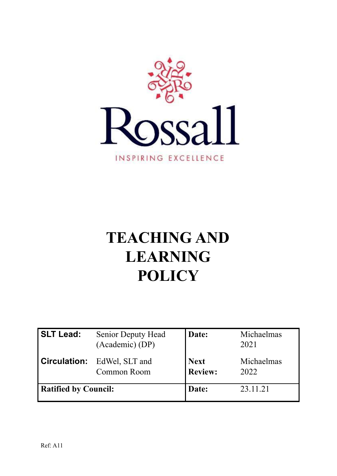

# **TEACHING AND LEARNING POLICY**

| <b>SLT Lead:</b>            | <b>Senior Deputy Head</b><br>(Academic) (DP)      | Date:                         | Michaelmas<br>2021 |
|-----------------------------|---------------------------------------------------|-------------------------------|--------------------|
|                             | <b>Circulation:</b> EdWel, SLT and<br>Common Room | <b>Next</b><br><b>Review:</b> | Michaelmas<br>2022 |
| <b>Ratified by Council:</b> |                                                   | Date:                         | 23.11.21           |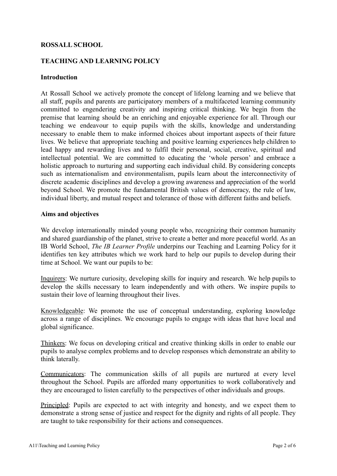## **ROSSALL SCHOOL**

## **TEACHING AND LEARNING POLICY**

#### **Introduction**

At Rossall School we actively promote the concept of lifelong learning and we believe that all staff, pupils and parents are participatory members of a multifaceted learning community committed to engendering creativity and inspiring critical thinking. We begin from the premise that learning should be an enriching and enjoyable experience for all. Through our teaching we endeavour to equip pupils with the skills, knowledge and understanding necessary to enable them to make informed choices about important aspects of their future lives. We believe that appropriate teaching and positive learning experiences help children to lead happy and rewarding lives and to fulfil their personal, social, creative, spiritual and intellectual potential. We are committed to educating the 'whole person' and embrace a holistic approach to nurturing and supporting each individual child. By considering concepts such as internationalism and environmentalism, pupils learn about the interconnectivity of discrete academic disciplines and develop a growing awareness and appreciation of the world beyond School. We promote the fundamental British values of democracy, the rule of law, individual liberty, and mutual respect and tolerance of those with different faiths and beliefs.

#### **Aims and objectives**

We develop internationally minded young people who, recognizing their common humanity and shared guardianship of the planet, strive to create a better and more peaceful world. As an IB World School, *The IB Learner Profile* underpins our Teaching and Learning Policy for it identifies ten key attributes which we work hard to help our pupils to develop during their time at School. We want our pupils to be:

Inquirers: We nurture curiosity, developing skills for inquiry and research. We help pupils to develop the skills necessary to learn independently and with others. We inspire pupils to sustain their love of learning throughout their lives.

Knowledgeable: We promote the use of conceptual understanding, exploring knowledge across a range of disciplines. We encourage pupils to engage with ideas that have local and global significance.

Thinkers: We focus on developing critical and creative thinking skills in order to enable our pupils to analyse complex problems and to develop responses which demonstrate an ability to think laterally.

Communicators: The communication skills of all pupils are nurtured at every level throughout the School. Pupils are afforded many opportunities to work collaboratively and they are encouraged to listen carefully to the perspectives of other individuals and groups.

Principled: Pupils are expected to act with integrity and honesty, and we expect them to demonstrate a strong sense of justice and respect for the dignity and rights of all people. They are taught to take responsibility for their actions and consequences.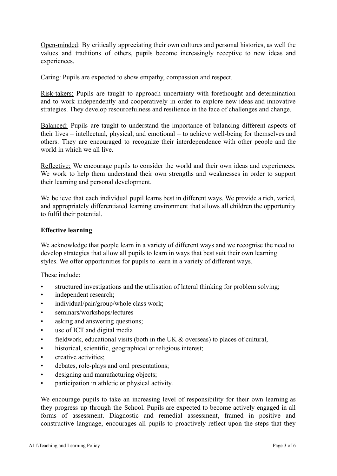Open-minded: By critically appreciating their own cultures and personal histories, as well the values and traditions of others, pupils become increasingly receptive to new ideas and experiences.

Caring: Pupils are expected to show empathy, compassion and respect.

Risk-takers: Pupils are taught to approach uncertainty with forethought and determination and to work independently and cooperatively in order to explore new ideas and innovative strategies. They develop resourcefulness and resilience in the face of challenges and change.

Balanced: Pupils are taught to understand the importance of balancing different aspects of their lives – intellectual, physical, and emotional – to achieve well-being for themselves and others. They are encouraged to recognize their interdependence with other people and the world in which we all live.

Reflective: We encourage pupils to consider the world and their own ideas and experiences. We work to help them understand their own strengths and weaknesses in order to support their learning and personal development.

We believe that each individual pupil learns best in different ways. We provide a rich, varied, and appropriately differentiated learning environment that allows all children the opportunity to fulfil their potential.

## **Effective learning**

We acknowledge that people learn in a variety of different ways and we recognise the need to develop strategies that allow all pupils to learn in ways that best suit their own learning styles. We offer opportunities for pupils to learn in a variety of different ways.

These include:

- structured investigations and the utilisation of lateral thinking for problem solving;
- independent research;
- individual/pair/group/whole class work;
- seminars/workshops/lectures
- asking and answering questions;
- use of ICT and digital media
- fieldwork, educational visits (both in the UK & overseas) to places of cultural,
- historical, scientific, geographical or religious interest;
- **creative activities:**
- debates, role-plays and oral presentations;
- designing and manufacturing objects;
- participation in athletic or physical activity.

We encourage pupils to take an increasing level of responsibility for their own learning as they progress up through the School. Pupils are expected to become actively engaged in all forms of assessment. Diagnostic and remedial assessment, framed in positive and constructive language, encourages all pupils to proactively reflect upon the steps that they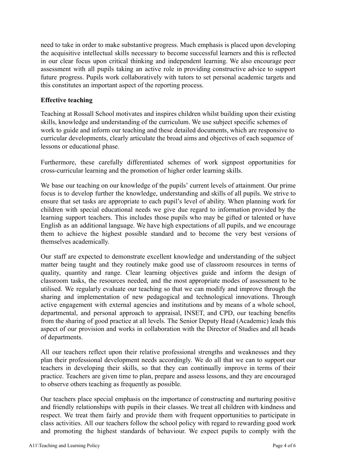need to take in order to make substantive progress. Much emphasis is placed upon developing the acquisitive intellectual skills necessary to become successful learners and this is reflected in our clear focus upon critical thinking and independent learning. We also encourage peer assessment with all pupils taking an active role in providing constructive advice to support future progress. Pupils work collaboratively with tutors to set personal academic targets and this constitutes an important aspect of the reporting process.

## **Effective teaching**

Teaching at Rossall School motivates and inspires children whilst building upon their existing skills, knowledge and understanding of the curriculum. We use subject specific schemes of work to guide and inform our teaching and these detailed documents, which are responsive to curricular developments, clearly articulate the broad aims and objectives of each sequence of lessons or educational phase.

Furthermore, these carefully differentiated schemes of work signpost opportunities for cross-curricular learning and the promotion of higher order learning skills.

We base our teaching on our knowledge of the pupils' current levels of attainment. Our prime focus is to develop further the knowledge, understanding and skills of all pupils. We strive to ensure that set tasks are appropriate to each pupil's level of ability. When planning work for children with special educational needs we give due regard to information provided by the learning support teachers. This includes those pupils who may be gifted or talented or have English as an additional language. We have high expectations of all pupils, and we encourage them to achieve the highest possible standard and to become the very best versions of themselves academically.

Our staff are expected to demonstrate excellent knowledge and understanding of the subject matter being taught and they routinely make good use of classroom resources in terms of quality, quantity and range. Clear learning objectives guide and inform the design of classroom tasks, the resources needed, and the most appropriate modes of assessment to be utilised. We regularly evaluate our teaching so that we can modify and improve through the sharing and implementation of new pedagogical and technological innovations. Through active engagement with external agencies and institutions and by means of a whole school, departmental, and personal approach to appraisal, INSET, and CPD, our teaching benefits from the sharing of good practice at all levels. The Senior Deputy Head (Academic) leads this aspect of our provision and works in collaboration with the Director of Studies and all heads of departments.

All our teachers reflect upon their relative professional strengths and weaknesses and they plan their professional development needs accordingly. We do all that we can to support our teachers in developing their skills, so that they can continually improve in terms of their practice. Teachers are given time to plan, prepare and assess lessons, and they are encouraged to observe others teaching as frequently as possible.

Our teachers place special emphasis on the importance of constructing and nurturing positive and friendly relationships with pupils in their classes. We treat all children with kindness and respect. We treat them fairly and provide them with frequent opportunities to participate in class activities. All our teachers follow the school policy with regard to rewarding good work and promoting the highest standards of behaviour. We expect pupils to comply with the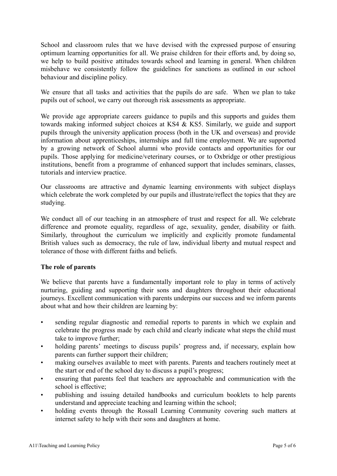School and classroom rules that we have devised with the expressed purpose of ensuring optimum learning opportunities for all. We praise children for their efforts and, by doing so, we help to build positive attitudes towards school and learning in general. When children misbehave we consistently follow the guidelines for sanctions as outlined in our school behaviour and discipline policy.

We ensure that all tasks and activities that the pupils do are safe. When we plan to take pupils out of school, we carry out thorough risk assessments as appropriate.

We provide age appropriate careers guidance to pupils and this supports and guides them towards making informed subject choices at KS4 & KS5. Similarly, we guide and support pupils through the university application process (both in the UK and overseas) and provide information about apprenticeships, internships and full time employment. We are supported by a growing network of School alumni who provide contacts and opportunities for our pupils. Those applying for medicine/veterinary courses, or to Oxbridge or other prestigious institutions, benefit from a programme of enhanced support that includes seminars, classes, tutorials and interview practice.

Our classrooms are attractive and dynamic learning environments with subject displays which celebrate the work completed by our pupils and illustrate/reflect the topics that they are studying.

We conduct all of our teaching in an atmosphere of trust and respect for all. We celebrate difference and promote equality, regardless of age, sexuality, gender, disability or faith. Similarly, throughout the curriculum we implicitly and explicitly promote fundamental British values such as democracy, the rule of law, individual liberty and mutual respect and tolerance of those with different faiths and beliefs.

## **The role of parents**

We believe that parents have a fundamentally important role to play in terms of actively nurturing, guiding and supporting their sons and daughters throughout their educational journeys. Excellent communication with parents underpins our success and we inform parents about what and how their children are learning by:

- sending regular diagnostic and remedial reports to parents in which we explain and celebrate the progress made by each child and clearly indicate what steps the child must take to improve further;
- holding parents' meetings to discuss pupils' progress and, if necessary, explain how parents can further support their children;
- making ourselves available to meet with parents. Parents and teachers routinely meet at the start or end of the school day to discuss a pupil's progress;
- ensuring that parents feel that teachers are approachable and communication with the school is effective;
- publishing and issuing detailed handbooks and curriculum booklets to help parents understand and appreciate teaching and learning within the school;
- holding events through the Rossall Learning Community covering such matters at internet safety to help with their sons and daughters at home.